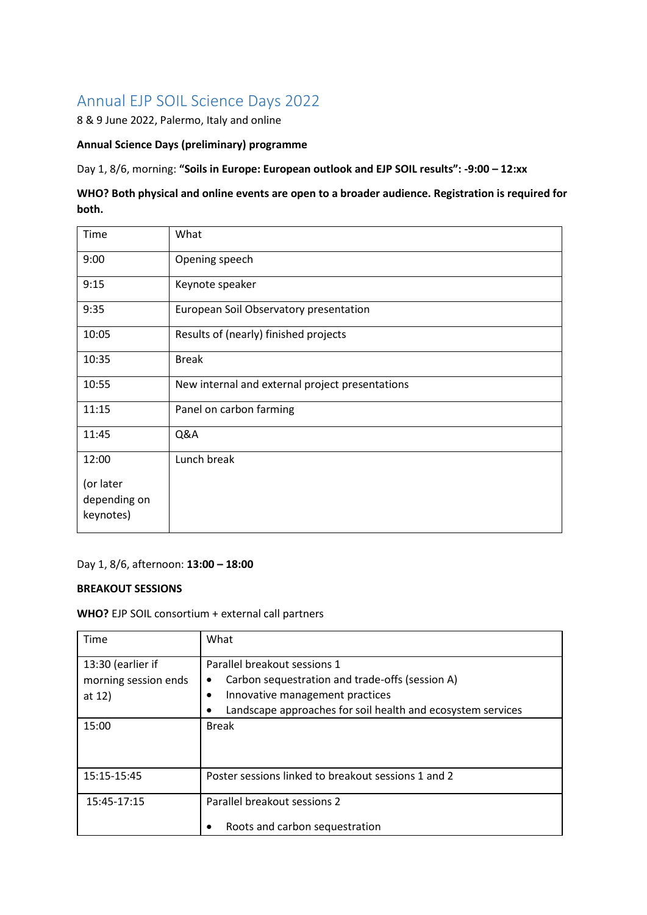# Annual EJP SOIL Science Days 2022

8 & 9 June 2022, Palermo, Italy and online

#### **Annual Science Days (preliminary) programme**

Day 1, 8/6, morning: **"Soils in Europe: European outlook and EJP SOIL results": -9:00 – 12:xx**

# **WHO? Both physical and online events are open to a broader audience. Registration is required for both.**

| Time                      | What                                            |
|---------------------------|-------------------------------------------------|
| 9:00                      | Opening speech                                  |
| 9:15                      | Keynote speaker                                 |
| 9:35                      | European Soil Observatory presentation          |
| 10:05                     | Results of (nearly) finished projects           |
| 10:35                     | <b>Break</b>                                    |
| 10:55                     | New internal and external project presentations |
| 11:15                     | Panel on carbon farming                         |
| 11:45                     | Q&A                                             |
| 12:00                     | Lunch break                                     |
| (or later                 |                                                 |
| depending on<br>keynotes) |                                                 |
|                           |                                                 |

## Day 1, 8/6, afternoon: **13:00 – 18:00**

## **BREAKOUT SESSIONS**

#### **WHO?** EJP SOIL consortium + external call partners

| Time                                                  | What                                                                                                                                                                                             |  |
|-------------------------------------------------------|--------------------------------------------------------------------------------------------------------------------------------------------------------------------------------------------------|--|
| 13:30 (earlier if<br>morning session ends<br>at $12)$ | Parallel breakout sessions 1<br>Carbon sequestration and trade-offs (session A)<br>٠<br>Innovative management practices<br>٠<br>Landscape approaches for soil health and ecosystem services<br>٠ |  |
| 15:00                                                 | <b>Break</b>                                                                                                                                                                                     |  |
| 15:15-15:45                                           | Poster sessions linked to breakout sessions 1 and 2                                                                                                                                              |  |
| 15:45-17:15                                           | Parallel breakout sessions 2<br>Roots and carbon sequestration                                                                                                                                   |  |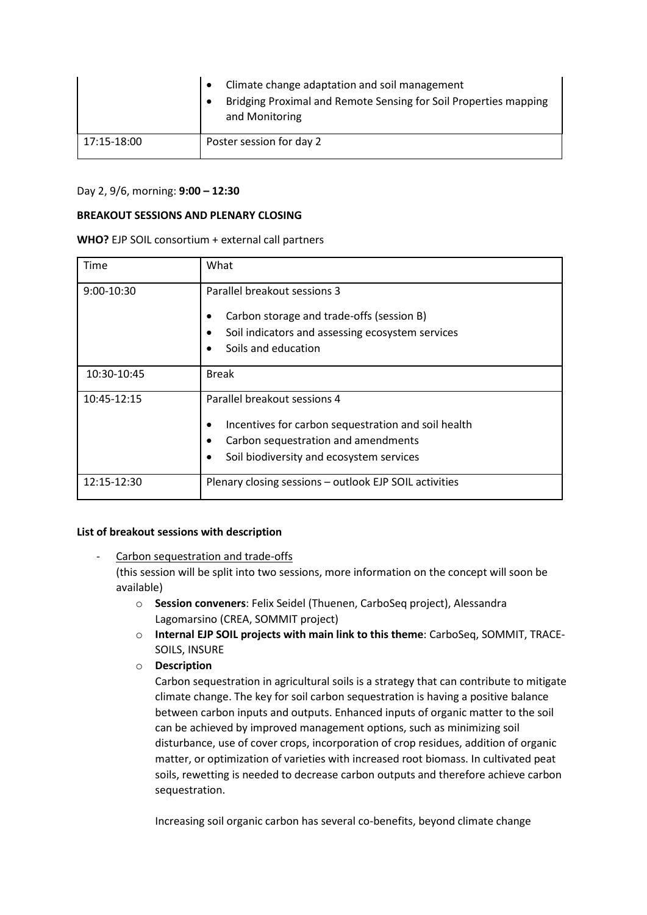|             | Climate change adaptation and soil management<br>Bridging Proximal and Remote Sensing for Soil Properties mapping<br>and Monitoring |
|-------------|-------------------------------------------------------------------------------------------------------------------------------------|
| 17:15-18:00 | Poster session for day 2                                                                                                            |

#### Day 2, 9/6, morning: **9:00 – 12:30**

#### **BREAKOUT SESSIONS AND PLENARY CLOSING**

| WHO? EJP SOIL consortium + external call partners |  |  |  |
|---------------------------------------------------|--|--|--|
|---------------------------------------------------|--|--|--|

| Time         | What                                                                                                                                                                                          |
|--------------|-----------------------------------------------------------------------------------------------------------------------------------------------------------------------------------------------|
| $9:00-10:30$ | Parallel breakout sessions 3<br>Carbon storage and trade-offs (session B)<br>٠<br>Soil indicators and assessing ecosystem services<br>$\bullet$<br>Soils and education                        |
| 10:30-10:45  | <b>Break</b>                                                                                                                                                                                  |
| 10:45-12:15  | Parallel breakout sessions 4<br>Incentives for carbon sequestration and soil health<br>٠<br>Carbon sequestration and amendments<br>$\bullet$<br>Soil biodiversity and ecosystem services<br>٠ |
| 12:15-12:30  | Plenary closing sessions - outlook EJP SOIL activities                                                                                                                                        |

#### **List of breakout sessions with description**

- Carbon sequestration and trade-offs (this session will be split into two sessions, more information on the concept will soon be available)
	- o **Session conveners**: Felix Seidel (Thuenen, CarboSeq project), Alessandra Lagomarsino (CREA, SOMMIT project)
	- o **Internal EJP SOIL projects with main link to this theme**: CarboSeq, SOMMIT, TRACE-SOILS, INSURE
	- o **Description**

Carbon sequestration in agricultural soils is a strategy that can contribute to mitigate climate change. The key for soil carbon sequestration is having a positive balance between carbon inputs and outputs. Enhanced inputs of organic matter to the soil can be achieved by improved management options, such as minimizing soil disturbance, use of cover crops, incorporation of crop residues, addition of organic matter, or optimization of varieties with increased root biomass. In cultivated peat soils, rewetting is needed to decrease carbon outputs and therefore achieve carbon sequestration.

Increasing soil organic carbon has several co-benefits, beyond climate change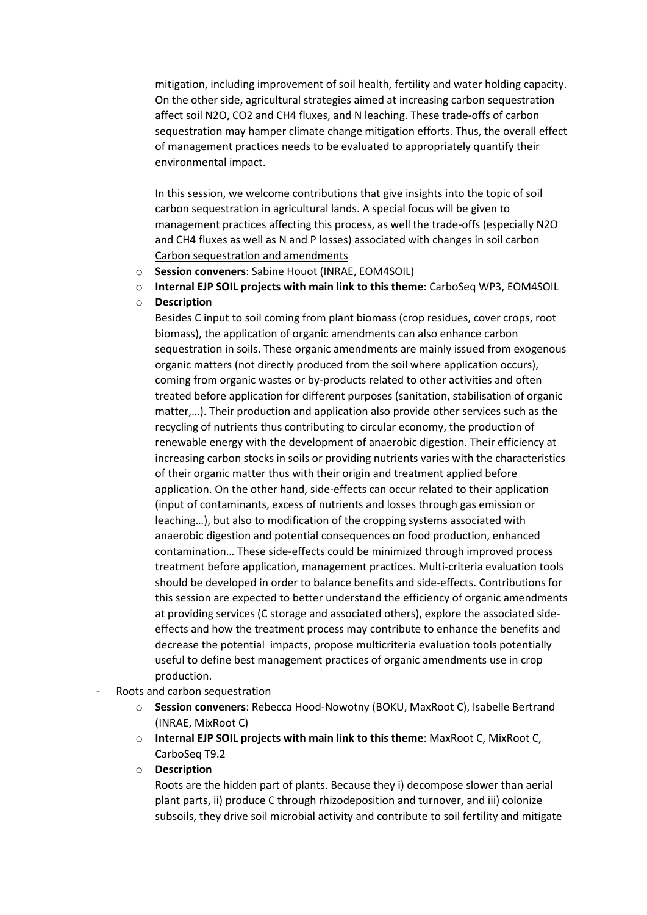mitigation, including improvement of soil health, fertility and water holding capacity. On the other side, agricultural strategies aimed at increasing carbon sequestration affect soil N2O, CO2 and CH4 fluxes, and N leaching. These trade-offs of carbon sequestration may hamper climate change mitigation efforts. Thus, the overall effect of management practices needs to be evaluated to appropriately quantify their environmental impact.

In this session, we welcome contributions that give insights into the topic of soil carbon sequestration in agricultural lands. A special focus will be given to management practices affecting this process, as well the trade-offs (especially N2O and CH4 fluxes as well as N and P losses) associated with changes in soil carbon Carbon sequestration and amendments

- o **Session conveners**: Sabine Houot (INRAE, EOM4SOIL)
- o **Internal EJP SOIL projects with main link to this theme**: CarboSeq WP3, EOM4SOIL
- o **Description**

Besides C input to soil coming from plant biomass (crop residues, cover crops, root biomass), the application of organic amendments can also enhance carbon sequestration in soils. These organic amendments are mainly issued from exogenous organic matters (not directly produced from the soil where application occurs), coming from organic wastes or by-products related to other activities and often treated before application for different purposes (sanitation, stabilisation of organic matter,…). Their production and application also provide other services such as the recycling of nutrients thus contributing to circular economy, the production of renewable energy with the development of anaerobic digestion. Their efficiency at increasing carbon stocks in soils or providing nutrients varies with the characteristics of their organic matter thus with their origin and treatment applied before application. On the other hand, side-effects can occur related to their application (input of contaminants, excess of nutrients and losses through gas emission or leaching…), but also to modification of the cropping systems associated with anaerobic digestion and potential consequences on food production, enhanced contamination… These side-effects could be minimized through improved process treatment before application, management practices. Multi-criteria evaluation tools should be developed in order to balance benefits and side-effects. Contributions for this session are expected to better understand the efficiency of organic amendments at providing services (C storage and associated others), explore the associated sideeffects and how the treatment process may contribute to enhance the benefits and decrease the potential impacts, propose multicriteria evaluation tools potentially useful to define best management practices of organic amendments use in crop production.

- Roots and carbon sequestration
	- o **Session conveners**: Rebecca Hood-Nowotny (BOKU, MaxRoot C), Isabelle Bertrand (INRAE, MixRoot C)
	- o **Internal EJP SOIL projects with main link to this theme**: MaxRoot C, MixRoot C, CarboSeq T9.2
	- o **Description**

Roots are the hidden part of plants. Because they i) decompose slower than aerial plant parts, ii) produce C through rhizodeposition and turnover, and iii) colonize subsoils, they drive soil microbial activity and contribute to soil fertility and mitigate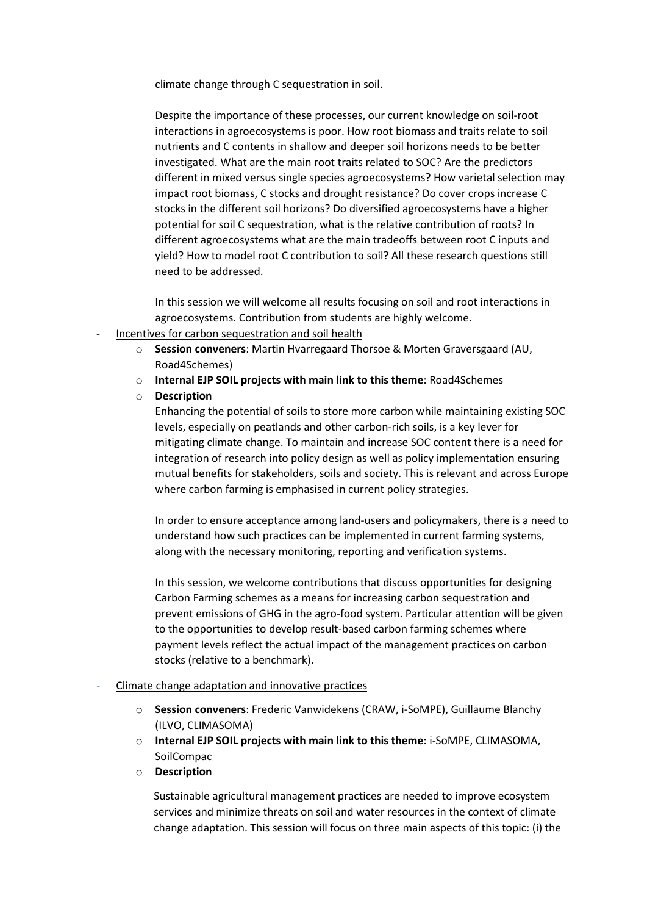climate change through C sequestration in soil.

Despite the importance of these processes, our current knowledge on soil-root interactions in agroecosystems is poor. How root biomass and traits relate to soil nutrients and C contents in shallow and deeper soil horizons needs to be better investigated. What are the main root traits related to SOC? Are the predictors different in mixed versus single species agroecosystems? How varietal selection may impact root biomass, C stocks and drought resistance? Do cover crops increase C stocks in the different soil horizons? Do diversified agroecosystems have a higher potential for soil C sequestration, what is the relative contribution of roots? In different agroecosystems what are the main tradeoffs between root C inputs and yield? How to model root C contribution to soil? All these research questions still need to be addressed.

In this session we will welcome all results focusing on soil and root interactions in agroecosystems. Contribution from students are highly welcome.

- Incentives for carbon sequestration and soil health
	- o **Session conveners**: Martin Hvarregaard Thorsoe & Morten Graversgaard (AU, Road4Schemes)
	- o **Internal EJP SOIL projects with main link to this theme**: Road4Schemes
	- o **Description**

Enhancing the potential of soils to store more carbon while maintaining existing SOC levels, especially on peatlands and other carbon-rich soils, is a key lever for mitigating climate change. To maintain and increase SOC content there is a need for integration of research into policy design as well as policy implementation ensuring mutual benefits for stakeholders, soils and society. This is relevant and across Europe where carbon farming is emphasised in current policy strategies.

In order to ensure acceptance among land-users and policymakers, there is a need to understand how such practices can be implemented in current farming systems, along with the necessary monitoring, reporting and verification systems.

In this session, we welcome contributions that discuss opportunities for designing Carbon Farming schemes as a means for increasing carbon sequestration and prevent emissions of GHG in the agro-food system. Particular attention will be given to the opportunities to develop result-based carbon farming schemes where payment levels reflect the actual impact of the management practices on carbon stocks (relative to a benchmark).

## - Climate change adaptation and innovative practices

- o **Session conveners**: Frederic Vanwidekens (CRAW, i-SoMPE), Guillaume Blanchy (ILVO, CLIMASOMA)
- o **Internal EJP SOIL projects with main link to this theme**: i-SoMPE, CLIMASOMA, SoilCompac
- o **Description**

Sustainable agricultural management practices are needed to improve ecosystem services and minimize threats on soil and water resources in the context of climate change adaptation. This session will focus on three main aspects of this topic: (i) the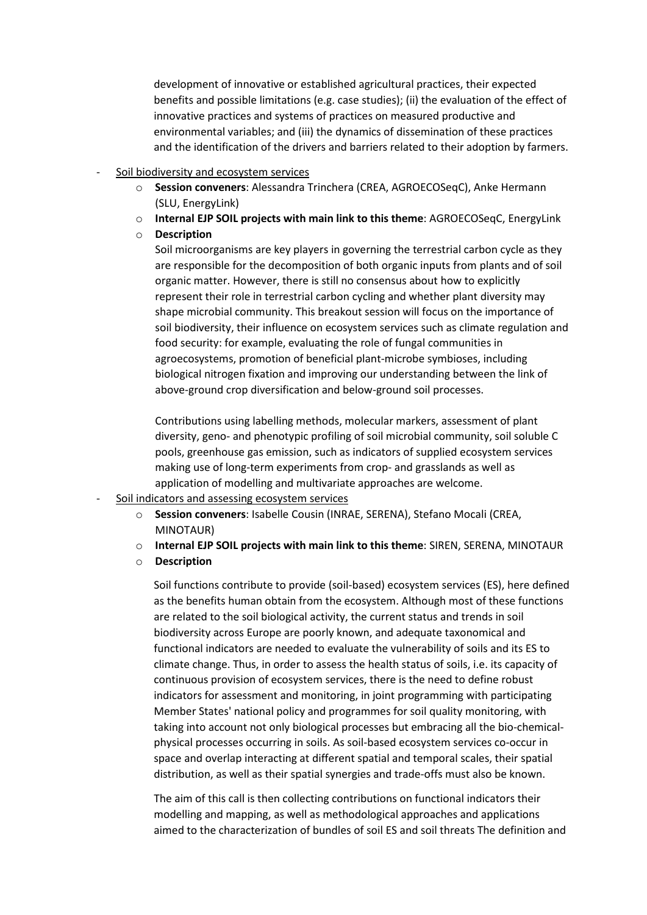development of innovative or established agricultural practices, their expected benefits and possible limitations (e.g. case studies); (ii) the evaluation of the effect of innovative practices and systems of practices on measured productive and environmental variables; and (iii) the dynamics of dissemination of these practices and the identification of the drivers and barriers related to their adoption by farmers.

- Soil biodiversity and ecosystem services
	- o **Session conveners**: Alessandra Trinchera (CREA, AGROECOSeqC), Anke Hermann (SLU, EnergyLink)
	- o **Internal EJP SOIL projects with main link to this theme**: AGROECOSeqC, EnergyLink

#### o **Description**

Soil microorganisms are key players in governing the terrestrial carbon cycle as they are responsible for the decomposition of both organic inputs from plants and of soil organic matter. However, there is still no consensus about how to explicitly represent their role in terrestrial carbon cycling and whether plant diversity may shape microbial community. This breakout session will focus on the importance of soil biodiversity, their influence on ecosystem services such as climate regulation and food security: for example, evaluating the role of fungal communities in agroecosystems, promotion of beneficial plant-microbe symbioses, including biological nitrogen fixation and improving our understanding between the link of above-ground crop diversification and below-ground soil processes.

Contributions using labelling methods, molecular markers, assessment of plant diversity, geno- and phenotypic profiling of soil microbial community, soil soluble C pools, greenhouse gas emission, such as indicators of supplied ecosystem services making use of long-term experiments from crop- and grasslands as well as application of modelling and multivariate approaches are welcome.

- Soil indicators and assessing ecosystem services
	- o **Session conveners**: Isabelle Cousin (INRAE, SERENA), Stefano Mocali (CREA, MINOTAUR)
	- o **Internal EJP SOIL projects with main link to this theme**: SIREN, SERENA, MINOTAUR
	- o **Description**

Soil functions contribute to provide (soil-based) ecosystem services (ES), here defined as the benefits human obtain from the ecosystem. Although most of these functions are related to the soil biological activity, the current status and trends in soil biodiversity across Europe are poorly known, and adequate taxonomical and functional indicators are needed to evaluate the vulnerability of soils and its ES to climate change. Thus, in order to assess the health status of soils, i.e. its capacity of continuous provision of ecosystem services, there is the need to define robust indicators for assessment and monitoring, in joint programming with participating Member States' national policy and programmes for soil quality monitoring, with taking into account not only biological processes but embracing all the bio-chemicalphysical processes occurring in soils. As soil-based ecosystem services co-occur in space and overlap interacting at different spatial and temporal scales, their spatial distribution, as well as their spatial synergies and trade-offs must also be known.

The aim of this call is then collecting contributions on functional indicators their modelling and mapping, as well as methodological approaches and applications aimed to the characterization of bundles of soil ES and soil threats The definition and